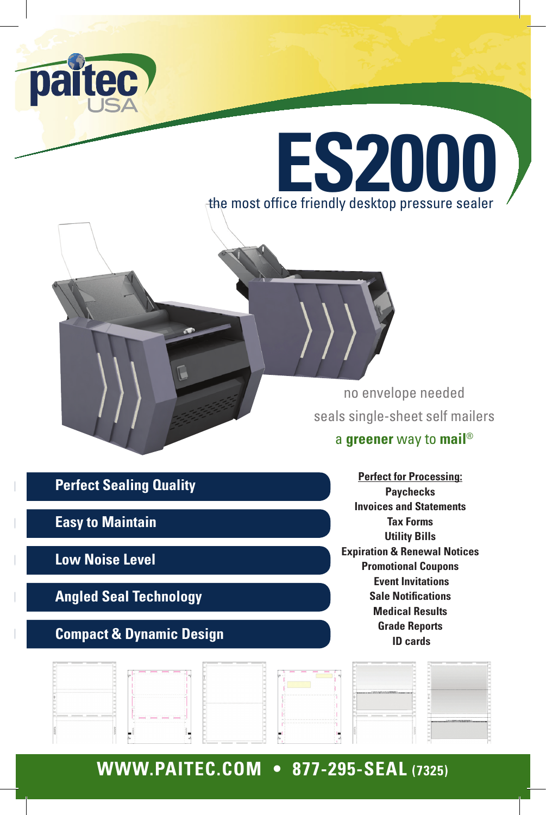



no envelope needed seals single-sheet self mailers

#### a **greener** way to **mail**®

**Perfect Sealing Quality**

**Easy to Maintain**

**Low Noise Level**

**Angled Seal Technology**

#### **Compact & Dynamic Design**

**Perfect for Processing: Paychecks Invoices and Statements Tax Forms Utility Bills Expiration & Renewal Notices Promotional Coupons Event Invitations Sale Notifications Medical Results Grade Reports ID cards** 

|                                             | ----                                                                                      |                                                                                 | -----                                                                                  |                                                   |                                                    |
|---------------------------------------------|-------------------------------------------------------------------------------------------|---------------------------------------------------------------------------------|----------------------------------------------------------------------------------------|---------------------------------------------------|----------------------------------------------------|
|                                             | the company of the company of the company of the company of the company of the company of |                                                                                 |                                                                                        |                                                   |                                                    |
|                                             |                                                                                           |                                                                                 |                                                                                        |                                                   |                                                    |
|                                             |                                                                                           |                                                                                 |                                                                                        |                                                   |                                                    |
|                                             |                                                                                           |                                                                                 |                                                                                        |                                                   |                                                    |
|                                             |                                                                                           |                                                                                 |                                                                                        |                                                   |                                                    |
|                                             |                                                                                           |                                                                                 |                                                                                        |                                                   |                                                    |
|                                             |                                                                                           |                                                                                 |                                                                                        |                                                   |                                                    |
|                                             |                                                                                           |                                                                                 |                                                                                        |                                                   |                                                    |
|                                             |                                                                                           |                                                                                 |                                                                                        |                                                   |                                                    |
|                                             |                                                                                           |                                                                                 |                                                                                        |                                                   |                                                    |
|                                             |                                                                                           |                                                                                 |                                                                                        |                                                   |                                                    |
|                                             |                                                                                           |                                                                                 |                                                                                        |                                                   |                                                    |
|                                             |                                                                                           |                                                                                 |                                                                                        | Canadas e candidade de Caractería de Caractería ( |                                                    |
|                                             |                                                                                           |                                                                                 |                                                                                        |                                                   |                                                    |
|                                             |                                                                                           |                                                                                 |                                                                                        |                                                   |                                                    |
|                                             |                                                                                           |                                                                                 |                                                                                        |                                                   |                                                    |
|                                             |                                                                                           |                                                                                 |                                                                                        |                                                   |                                                    |
|                                             |                                                                                           |                                                                                 |                                                                                        |                                                   |                                                    |
|                                             |                                                                                           |                                                                                 |                                                                                        |                                                   |                                                    |
|                                             |                                                                                           |                                                                                 |                                                                                        |                                                   |                                                    |
|                                             |                                                                                           |                                                                                 |                                                                                        |                                                   |                                                    |
|                                             |                                                                                           |                                                                                 |                                                                                        |                                                   |                                                    |
|                                             |                                                                                           |                                                                                 |                                                                                        |                                                   |                                                    |
|                                             |                                                                                           |                                                                                 |                                                                                        |                                                   |                                                    |
|                                             |                                                                                           |                                                                                 |                                                                                        |                                                   |                                                    |
|                                             |                                                                                           |                                                                                 |                                                                                        |                                                   |                                                    |
|                                             |                                                                                           |                                                                                 |                                                                                        |                                                   |                                                    |
| the company of the company of the company's |                                                                                           |                                                                                 |                                                                                        |                                                   |                                                    |
|                                             |                                                                                           |                                                                                 |                                                                                        |                                                   |                                                    |
|                                             | panel bears bears panel in                                                                |                                                                                 |                                                                                        |                                                   |                                                    |
|                                             |                                                                                           |                                                                                 |                                                                                        |                                                   | www.communichtvillent.com/philosophy.communication |
|                                             |                                                                                           |                                                                                 | where we are the set of the set of the set of the set of the set of the set of the set |                                                   |                                                    |
|                                             |                                                                                           |                                                                                 |                                                                                        |                                                   |                                                    |
|                                             |                                                                                           |                                                                                 |                                                                                        |                                                   |                                                    |
|                                             |                                                                                           |                                                                                 |                                                                                        |                                                   |                                                    |
|                                             |                                                                                           |                                                                                 |                                                                                        |                                                   |                                                    |
|                                             |                                                                                           |                                                                                 |                                                                                        |                                                   |                                                    |
|                                             |                                                                                           |                                                                                 |                                                                                        |                                                   |                                                    |
|                                             |                                                                                           |                                                                                 |                                                                                        |                                                   |                                                    |
|                                             |                                                                                           |                                                                                 |                                                                                        |                                                   |                                                    |
|                                             |                                                                                           |                                                                                 |                                                                                        |                                                   |                                                    |
|                                             |                                                                                           |                                                                                 |                                                                                        |                                                   |                                                    |
|                                             |                                                                                           |                                                                                 |                                                                                        |                                                   |                                                    |
|                                             |                                                                                           |                                                                                 |                                                                                        |                                                   |                                                    |
|                                             |                                                                                           | the contract of the contract of the contract of the contract of the contract of |                                                                                        |                                                   |                                                    |

## **WWW.PAITEC.COM • 877-295-SEAL (7325)**